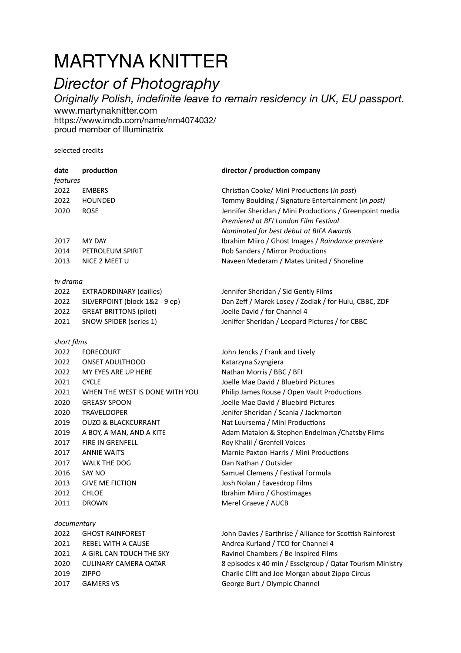# MARTYNA KNITTER

## *Director of Photography*

*Originally Polish, indefinite leave to remain residency in UK, EU passport.*  www.[martynaknitter.com](http://martynaknitter.com) <https://www.imdb.com/name/nm4074032/> proud member of Illuminatrix

selected credits

| date        | production                     | director / production company                              |
|-------------|--------------------------------|------------------------------------------------------------|
| features    |                                |                                                            |
| 2022        | <b>EMBERS</b>                  | Christian Cooke/ Mini Productions (in post)                |
| 2022        | <b>HOUNDED</b>                 | Tommy Boulding / Signature Entertainment (in post)         |
| 2020        | <b>ROSE</b>                    | Jennifer Sheridan / Mini Productions / Greenpoint media    |
|             |                                | Premiered at BFI London Film Festival                      |
|             |                                | Nominated for best debut at BIFA Awards                    |
| 2017        | MY DAY                         | Ibrahim Miiro / Ghost Images / Raindance premiere          |
| 2014        | PETROLEUM SPIRIT               | Rob Sanders / Mirror Productions                           |
| 2013        | NICE 2 MEET U                  | Naveen Mederam / Mates United / Shoreline                  |
| tv drama    |                                |                                                            |
| 2022        | <b>EXTRAORDINARY (dailies)</b> | Jennifer Sheridan / Sid Gently Films                       |
| 2022        | SILVERPOINT (block 1&2 - 9 ep) | Dan Zeff / Marek Losey / Zodiak / for Hulu, CBBC, ZDF      |
| 2022        | <b>GREAT BRITTONS (pilot)</b>  | Joelle David / for Channel 4                               |
| 2021        | SNOW SPIDER (series 1)         | Jeniffer Sheridan / Leopard Pictures / for CBBC            |
| short films |                                |                                                            |
| 2022        | <b>FORECOURT</b>               | John Jencks / Frank and Lively                             |
| 2022        | <b>ONSET ADULTHOOD</b>         | Katarzyna Szyngiera                                        |
| 2022        | MY EYES ARE UP HERE            | Nathan Morris / BBC / BFI                                  |
| 2021        | <b>CYCLE</b>                   | Joelle Mae David / Bluebird Pictures                       |
| 2021        | WHEN THE WEST IS DONE WITH YOU | Philip James Rouse / Open Vault Productions                |
| 2020        | <b>GREASY SPOON</b>            | Joelle Mae David / Bluebird Pictures                       |
| 2020        | <b>TRAVELOOPER</b>             | Jenifer Sheridan / Scania / Jackmorton                     |
| 2019        | <b>OUZO &amp; BLACKCURRANT</b> | Nat Luursema / Mini Productions                            |
| 2019        | A BOY, A MAN, AND A KITE       | Adam Matalon & Stephen Endelman / Chatsby Films            |
| 2017        | FIRE IN GRENFELL               | Roy Khalil / Grenfell Voices                               |
| 2017        | <b>ANNIE WAITS</b>             | Marnie Paxton-Harris / Mini Productions                    |
| 2017        | WALK THE DOG                   | Dan Nathan / Outsider                                      |
| 2016        | SAY NO                         | Samuel Clemens / Festival Formula                          |
| 2013        | <b>GIVE ME FICTION</b>         | Josh Nolan / Eavesdrop Films                               |
| 2012        | <b>CHLOE</b>                   | Ibrahim Miiro / Ghostimages                                |
| 2011        | <b>DROWN</b>                   | Merel Graeve / AUCB                                        |
| documentary |                                |                                                            |
| 2022        | <b>GHOST RAINFOREST</b>        | John Davies / Earthrise / Alliance for Scottish Rainforest |
| 2021        | <b>REBEL WITH A CAUSE</b>      | Andrea Kurland / TCO for Channel 4                         |

Charlie Clift and Joe Morgan about Zippo Circus

2021 A GIRL CAN TOUCH THE SKY Ravinol Chambers / Be Inspired Films 2020 CULINARY CAMERA QATAR 8 episodes x 40 min / Esselgroup / Qatar Tourism Ministry<br>2019 ZIPPO 2019 2019 Charlie Clift and Joe Morgan about Zippo Circus

- 
- 2017 GAMERS VS George Burt / Olympic Channel